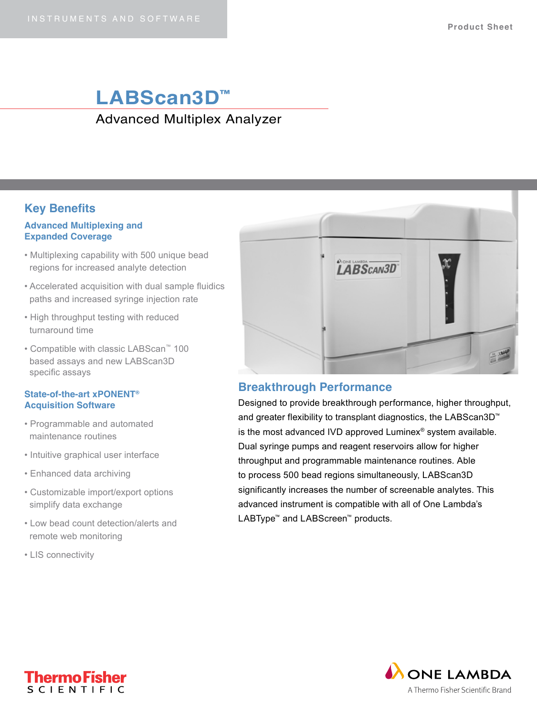## **LABScan3D™** Advanced Multiplex Analyzer

## **Key Benefits**

#### **Advanced Multiplexing and Expanded Coverage**

- Multiplexing capability with 500 unique bead regions for increased analyte detection
- Accelerated acquisition with dual sample fluidics paths and increased syringe injection rate
- High throughput testing with reduced turnaround time
- Compatible with classic LABScan™ 100 based assays and new LABScan3D specific assays

#### **State-of-the-art xPONENT® Acquisition Software**

- Programmable and automated maintenance routines
- Intuitive graphical user interface
- Enhanced data archiving
- Customizable import/export options simplify data exchange
- Low bead count detection/alerts and remote web monitoring
- LIS connectivity



### **Breakthrough Performance**

Designed to provide breakthrough performance, higher throughput, and greater flexibility to transplant diagnostics, the LABScan3D™ is the most advanced IVD approved Luminex® system available. Dual syringe pumps and reagent reservoirs allow for higher throughput and programmable maintenance routines. Able to process 500 bead regions simultaneously, LABScan3D significantly increases the number of screenable analytes. This advanced instrument is compatible with all of One Lambda's LABType™ and LABScreen™ products.